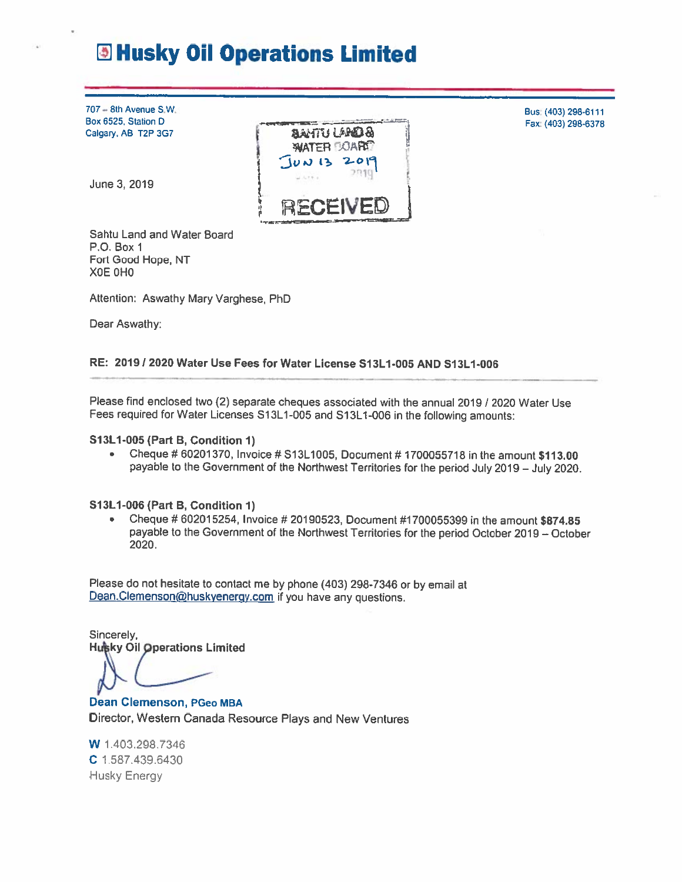# **E Husky Oil Operations Limited**

707 - 8th Avenue S.W. Box 6525, Station D Calgary, AB T2P 3G7

June 3, 2019



Bus: (403) 298-6111

Fax: (403) 298-6378

Sahtu Land and Water Board P.O. Box 1 Fort Good Hope, NT XOE OHO

Attention: Aswathy Mary Varghese, PhD

Dear Aswathy:

### RE: 2019 / 2020 Water Use Fees for Water License S13L1-005 AND S13L1-006

Please find enclosed two (2) separate cheques associated with the annual 2019 / 2020 Water Use Fees required for Water Licenses S13L1-005 and S13L1-006 in the following amounts:

S13L1-005 (Part B, Condition 1)

Cheque # 60201370, Invoice # S13L1005, Document # 1700055718 in the amount \$113.00  $\bullet$ payable to the Government of the Northwest Territories for the period July 2019 - July 2020.

### S13L1-006 (Part B, Condition 1)

Cheque # 602015254, Invoice # 20190523, Document #1700055399 in the amount \$874.85  $\bullet$ payable to the Government of the Northwest Territories for the period October 2019 - October 2020.

Please do not hesitate to contact me by phone (403) 298-7346 or by email at Dean.Clemenson@huskyenergy.com if you have any questions.

Sincerely, **Husky Oil Operations Limited** 

**Dean Clemenson, PGeo MBA** Director, Western Canada Resource Plays and New Ventures

W 1.403.298.7346 C 1.587.439.6430 Husky Energy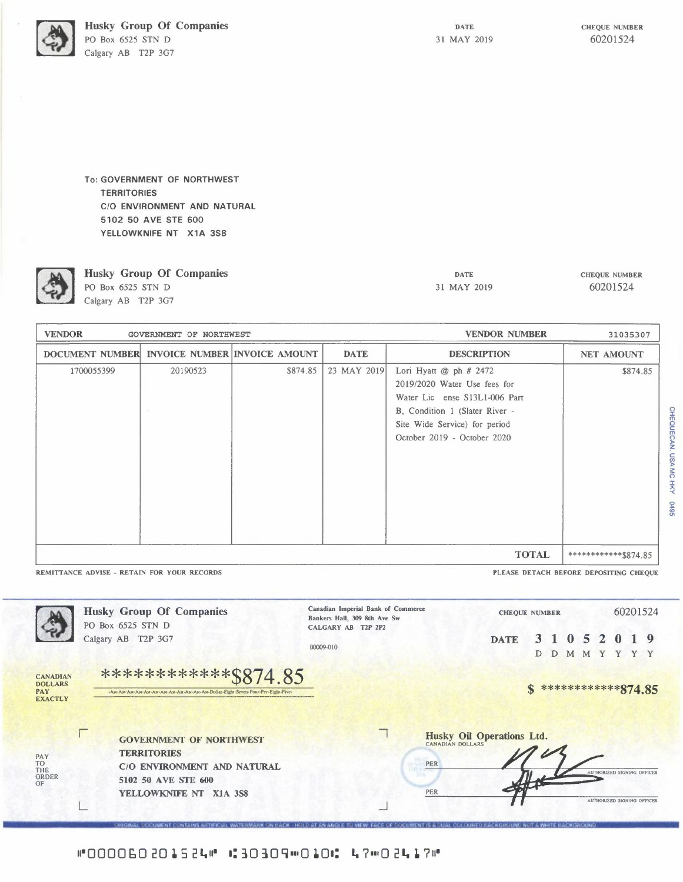Husky Group Of Companies PO Box 6525 STN D Calgary AB T2P 3G7

CHEQUE NUMBER 60201524

To: GOVERNMENT OF NORTHWEST **TERRITORIES** C/0 ENVIRONMENT AND NATURAL 5102 50 AVE STE 600 YELLOWKNIFE NT X1A 3S8



**Husky Group Of Companies**  PO Box 6525 STN D Calgary AB T2P 3G7

DATE 31 MAY 2019 CHEQUE NUMBER 60201524

**CHEQUECAN. USA MC HI** 

~

| <b>VENDOR</b><br>GOVERNMENT OF NORTHWEST      |          |          |             | <b>VENDOR NUMBER</b>                                                                                                                                                                          | 31035307             |
|-----------------------------------------------|----------|----------|-------------|-----------------------------------------------------------------------------------------------------------------------------------------------------------------------------------------------|----------------------|
| DOCUMENT NUMBER INVOICE NUMBER INVOICE AMOUNT |          |          | <b>DATE</b> | <b>DESCRIPTION</b>                                                                                                                                                                            | <b>NET AMOUNT</b>    |
| 1700055399                                    | 20190523 | \$874.85 | 23 MAY 2019 | Lori Hyatt $@$ ph $#$ 2472<br>2019/2020 Water Use fees for<br>Water Lic ense S13L1-006 Part<br>B, Condition 1 (Slater River -<br>Site Wide Service) for period<br>October 2019 - October 2020 | \$874.85             |
| <b>TOTAL</b>                                  |          |          |             |                                                                                                                                                                                               | ************\$874.85 |

REMITTANCE ADVISE - RETAIN FOR YOUR RECORDS **Example 2008** The Second 2008 PLEASE DETACH BEFORE DEPOSITING CHEQUE



#000060201524# 1:30309m0101: 47m02417#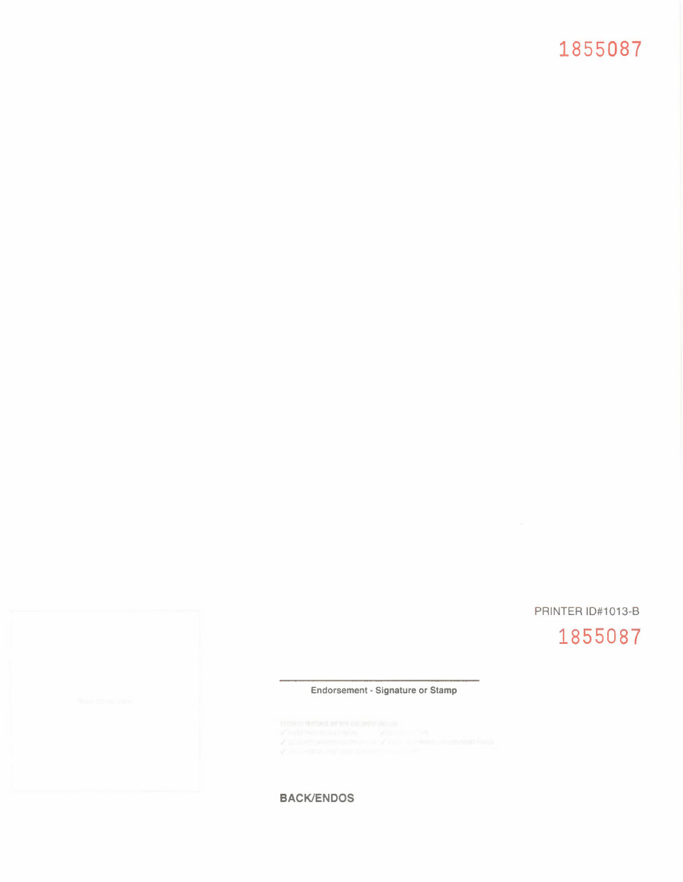## **1855087**

## PRINTER ID#1013-B

## **1855087**

#### Endorsement - Signature **or Stamp**

BACK/ENDOS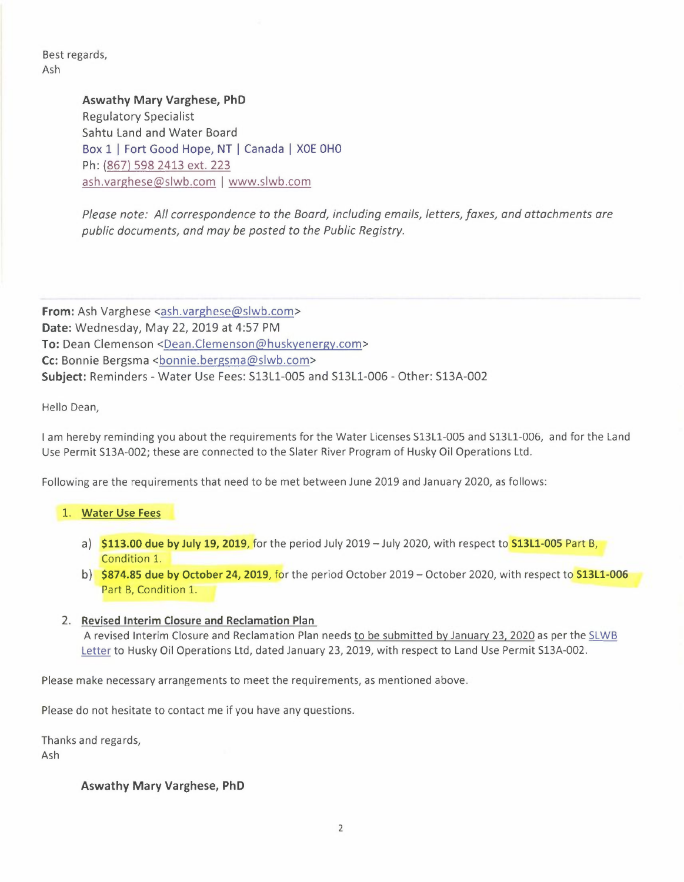Best regards, Ash

> **Aswathy Mary Varghese, PhD**  Regulatory Specialist Sahtu Land and Water Board Box 1 | Fort Good Hope, NT | Canada | XOE OHO Ph: (867) 598 2413 ext. 223 ash.varghese@slwb.com I www.slwb.com

*Please note: All correspondence to the Board, including emails, letters, faxes, and attachments are public documents, and may be posted to the Public Registry.* 

**From:** Ash Varghese <ash.varghese@slwb.com> **Date:** Wednesday, May 22, 2019 at 4:57 PM **To:** Dean Clemenson <Dean.Clemenson@huskyenergy.com> Cc: Bonnie Bergsma <br/>bonnie.bergsma@slwb.com> **Subject:** Reminders - Water Use Fees: Sl3Ll-005 and Sl3Ll-006 - Other: Sl3A-002

Hello Dean,

I am hereby reminding you about the requirements for the Water Licenses S13L1-005 and S13Ll-006, and for the Land Use Permit S13A-002; these are connected to the Slater River Program of Husky Oil Operations Ltd.

Following are the requirements that need to be met between June 2019 and January 2020, as follows:

### 1. **Water Use Fees**

- a) \$113.00 due **by** July 19, 2019, for the period July 2019-July 2020, with respect to S13L1-005 Part B, Condition l.
- b) \$874.85 due **by October** 24, 2019, for the period October 2019 October 2020, with respect to S13L1-006 Part B, Condition l.

### 2. Revised **Interim Closure and Reclamation Plan**

A revised Interim Closure and Reclamation Plan needs to be submitted by January 23, 2020 as per the SLWB Letter to Husky Oil Operations Ltd, dated January 23, 2019, with respect to Land Use Permit S13A-002.

Please make necessary arrangements to meet the requirements, as mentioned above.

Please do not hesitate to contact me if you have any questions.

Thanks and regards,

Ash

**Aswathy Mary Varghese, PhD**